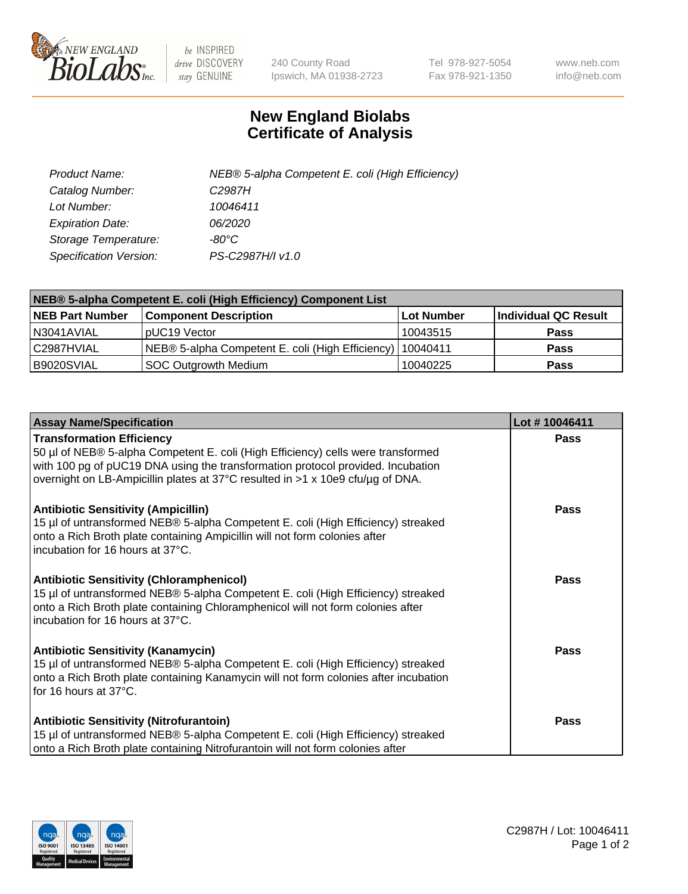

 $be$  INSPIRED drive DISCOVERY stay GENUINE

240 County Road Ipswich, MA 01938-2723 Tel 978-927-5054 Fax 978-921-1350 www.neb.com info@neb.com

## **New England Biolabs Certificate of Analysis**

| Product Name:           | NEB® 5-alpha Competent E. coli (High Efficiency) |
|-------------------------|--------------------------------------------------|
| Catalog Number:         | C <sub>2987</sub> H                              |
| Lot Number:             | 10046411                                         |
| <b>Expiration Date:</b> | <i>06/2020</i>                                   |
| Storage Temperature:    | -80°C                                            |
| Specification Version:  | PS-C2987H/I v1.0                                 |

| NEB® 5-alpha Competent E. coli (High Efficiency) Component List |                                                  |            |                      |  |
|-----------------------------------------------------------------|--------------------------------------------------|------------|----------------------|--|
| <b>NEB Part Number</b>                                          | <b>Component Description</b>                     | Lot Number | Individual QC Result |  |
| N3041AVIAL                                                      | pUC19 Vector                                     | 10043515   | <b>Pass</b>          |  |
| C2987HVIAL                                                      | NEB® 5-alpha Competent E. coli (High Efficiency) | 10040411   | <b>Pass</b>          |  |
| B9020SVIAL                                                      | <b>SOC Outgrowth Medium</b>                      | 10040225   | <b>Pass</b>          |  |

| <b>Assay Name/Specification</b>                                                                                                                                                                                                                                                           | Lot #10046411 |
|-------------------------------------------------------------------------------------------------------------------------------------------------------------------------------------------------------------------------------------------------------------------------------------------|---------------|
| <b>Transformation Efficiency</b><br>50 µl of NEB® 5-alpha Competent E. coli (High Efficiency) cells were transformed<br>with 100 pg of pUC19 DNA using the transformation protocol provided. Incubation<br>overnight on LB-Ampicillin plates at 37°C resulted in >1 x 10e9 cfu/µg of DNA. | Pass          |
| <b>Antibiotic Sensitivity (Ampicillin)</b><br>15 µl of untransformed NEB® 5-alpha Competent E. coli (High Efficiency) streaked<br>onto a Rich Broth plate containing Ampicillin will not form colonies after<br>incubation for 16 hours at 37°C.                                          | <b>Pass</b>   |
| <b>Antibiotic Sensitivity (Chloramphenicol)</b><br>15 µl of untransformed NEB® 5-alpha Competent E. coli (High Efficiency) streaked<br>onto a Rich Broth plate containing Chloramphenicol will not form colonies after<br>incubation for 16 hours at 37°C.                                | Pass          |
| <b>Antibiotic Sensitivity (Kanamycin)</b><br>15 µl of untransformed NEB® 5-alpha Competent E. coli (High Efficiency) streaked<br>onto a Rich Broth plate containing Kanamycin will not form colonies after incubation<br>for 16 hours at 37°C.                                            | Pass          |
| <b>Antibiotic Sensitivity (Nitrofurantoin)</b><br>15 µl of untransformed NEB® 5-alpha Competent E. coli (High Efficiency) streaked<br>onto a Rich Broth plate containing Nitrofurantoin will not form colonies after                                                                      | Pass          |